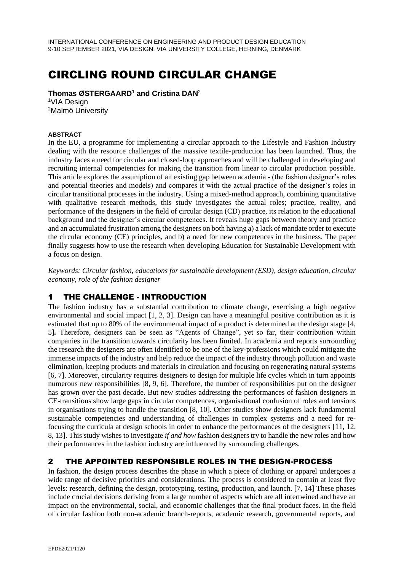# CIRCLING ROUND CIRCULAR CHANGE

**Thomas ØSTERGAARD<sup>1</sup> and Cristina DAN**<sup>2</sup> <sup>1</sup>VIA Desian

<sup>2</sup>Malmö University

#### **ABSTRACT**

In the EU, a programme for implementing a circular approach to the Lifestyle and Fashion Industry dealing with the resource challenges of the massive textile-production has been launched. Thus, the industry faces a need for circular and closed-loop approaches and will be challenged in developing and recruiting internal competencies for making the transition from linear to circular production possible. This article explores the assumption of an existing gap between academia - (the fashion designer's roles and potential theories and models) and compares it with the actual practice of the designer's roles in circular transitional processes in the industry. Using a mixed-method approach, combining quantitative with qualitative research methods, this study investigates the actual roles; practice, reality, and performance of the designers in the field of circular design (CD) practice, its relation to the educational background and the designer's circular competences. It reveals huge gaps between theory and practice and an accumulated frustration among the designers on both having a) a lack of mandate order to execute the circular economy (CE) principles, and b) a need for new competences in the business. The paper finally suggests how to use the research when developing Education for Sustainable Development with a focus on design.

*Keywords: Circular fashion, educations for sustainable development (ESD), design education, circular economy, role of the fashion designer*

# 1 THE CHALLENGE - INTRODUCTION

The fashion industry has a substantial contribution to climate change, exercising a high negative environmental and social impact [1, 2, 3]. Design can have a meaningful positive contribution as it is estimated that up to 80% of the environmental impact of a product is determined at the design stage [4, 5]*.* Therefore, designers can be seen as "Agents of Change", yet so far, their contribution within companies in the transition towards circularity has been limited. In academia and reports surrounding the research the designers are often identified to be one of the key-professions which could mitigate the immense impacts of the industry and help reduce the impact of the industry through pollution and waste elimination, keeping products and materials in circulation and focusing on regenerating natural systems [6, 7]. Moreover, circularity requires designers to design for multiple life cycles which in turn appoints numerous new responsibilities [8, 9, 6]. Therefore, the number of responsibilities put on the designer has grown over the past decade. But new studies addressing the performances of fashion designers in CE-transitions show large gaps in circular competences, organisational confusion of roles and tensions in organisations trying to handle the transition [8, 10]. Other studies show designers lack fundamental sustainable competencies and understanding of challenges in complex systems and a need for refocusing the curricula at design schools in order to enhance the performances of the designers [11, 12, 8, 13]. This study wishes to investigate *if and how* fashion designers try to handle the new roles and how their performances in the fashion industry are influenced by surrounding challenges.

# 2 THE APPOINTED RESPONSIBLE ROLES IN THE DESIGN-PROCESS

In fashion, the design process describes the phase in which a piece of clothing or apparel undergoes a wide range of decisive priorities and considerations. The process is considered to contain at least five levels: research, defining the design, prototyping, testing, production, and launch. [7, 14] These phases include crucial decisions deriving from a large number of aspects which are all intertwined and have an impact on the environmental, social, and economic challenges that the final product faces. In the field of circular fashion both non-academic branch-reports, academic research, governmental reports, and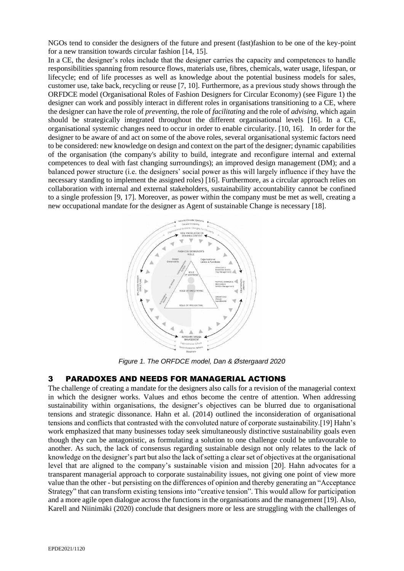NGOs tend to consider the designers of the future and present (fast)fashion to be one of the key-point for a new transition towards circular fashion [14, 15].

In a CE, the designer's roles include that the designer carries the capacity and competences to handle responsibilities spanning from resource flows, materials use, fibres, chemicals, water usage, lifespan, or lifecycle; end of life processes as well as knowledge about the potential business models for sales, customer use, take back, recycling or reuse [7, 10]. Furthermore, as a previous study shows through the ORFDCE model (Organisational Roles of Fashion Designers for Circular Economy) (see Figure 1) the designer can work and possibly interact in different roles in organisations transitioning to a CE, where the designer can have the role of *preventing*, the role of *facilitating* and the role of *advising*, which again should be strategically integrated throughout the different organisational levels [16]. In a CE, organisational systemic changes need to occur in order to enable circularity. [10, 16]. In order for the designer to be aware of and act on some of the above roles, several organisational systemic factors need to be considered: new knowledge on design and context on the part of the designer; dynamic capabilities of the organisation (the company's ability to build, integrate and reconfigure internal and external competences to deal with fast changing surroundings); an improved design management (DM); and a balanced power structure (i.e. the designers' social power as this will largely influence if they have the necessary standing to implement the assigned roles) [16]. Furthermore, as a circular approach relies on collaboration with internal and external stakeholders, sustainability accountability cannot be confined to a single profession [9, 17]. Moreover, as power within the company must be met as well, creating a new occupational mandate for the designer as Agent of sustainable Change is necessary [18].



*Figure 1. The ORFDCE model, Dan & Østergaard 2020*

#### 3 PARADOXES AND NEEDS FOR MANAGERIAL ACTIONS

The challenge of creating a mandate for the designers also calls for a revision of the managerial context in which the designer works. Values and ethos become the centre of attention. When addressing sustainability within organisations, the designer's objectives can be blurred due to organisational tensions and strategic dissonance. Hahn et al. (2014) outlined the inconsideration of organisational tensions and conflicts that contrasted with the convoluted nature of corporate sustainability.[19] Hahn's work emphasized that many businesses today seek simultaneously distinctive sustainability goals even though they can be antagonistic, as formulating a solution to one challenge could be unfavourable to another. As such, the lack of consensus regarding sustainable design not only relates to the lack of knowledge on the designer's part but also the lack of setting a clear set of objectives at the organisational level that are aligned to the company's sustainable vision and mission [20]. Hahn advocates for a transparent managerial approach to corporate sustainability issues, not giving one point of view more value than the other - but persisting on the differences of opinion and thereby generating an "Acceptance Strategy" that can transform existing tensions into "creative tension". This would allow for participation and a more agile open dialogue across the functions in the organisations and the management [19]. Also, Karell and Niinimäki (2020) conclude that designers more or less are struggling with the challenges of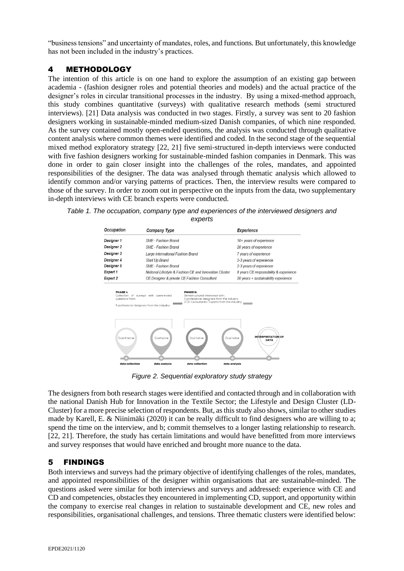"business tensions" and uncertainty of mandates, roles, and functions. But unfortunately, this knowledge has not been included in the industry's practices.

## 4 METHODOLOGY

The intention of this article is on one hand to explore the assumption of an existing gap between academia - (fashion designer roles and potential theories and models) and the actual practice of the designer's roles in circular transitional processes in the industry. By using a mixed-method approach, this study combines quantitative (surveys) with qualitative research methods (semi structured interviews). [21] Data analysis was conducted in two stages. Firstly, a survey was sent to 20 fashion designers working in sustainable-minded medium-sized Danish companies, of which nine responded. As the survey contained mostly open-ended questions, the analysis was conducted through qualitative content analysis where common themes were identified and coded. In the second stage of the sequential mixed method exploratory strategy [22, 21] five semi-structured in-depth interviews were conducted with five fashion designers working for sustainable-minded fashion companies in Denmark. This was done in order to gain closer insight into the challenges of the roles, mandates, and appointed responsibilities of the designer. The data was analysed through thematic analysis which allowed to identify common and/or varying patterns of practices. Then, the interview results were compared to those of the survey. In order to zoom out in perspective on the inputs from the data, two supplementary in-depth interviews with CE branch experts were conducted.

*Table 1. The occupation, company type and experiences of the interviewed designers and experts*



*Figure 2. Sequential exploratory study strategy*

The designers from both research stages were identified and contacted through and in collaboration with the national Danish Hub for Innovation in the Textile Sector; the Lifestyle and Design Cluster (LD-Cluster) for a more precise selection of respondents. But, as this study also shows, similar to other studies made by Karell, E. & Niinimäki (2020) it can be really difficult to find designers who are willing to a; spend the time on the interview, and b; commit themselves to a longer lasting relationship to research. [22, 21]. Therefore, the study has certain limitations and would have benefitted from more interviews and survey responses that would have enriched and brought more nuance to the data.

# 5 FINDINGS

Both interviews and surveys had the primary objective of identifying challenges of the roles, mandates, and appointed responsibilities of the designer within organisations that are sustainable-minded. The questions asked were similar for both interviews and surveys and addressed: experience with CE and CD and competencies, obstacles they encountered in implementing CD, support, and opportunity within the company to exercise real changes in relation to sustainable development and CE, new roles and responsibilities, organisational challenges, and tensions. Three thematic clusters were identified below: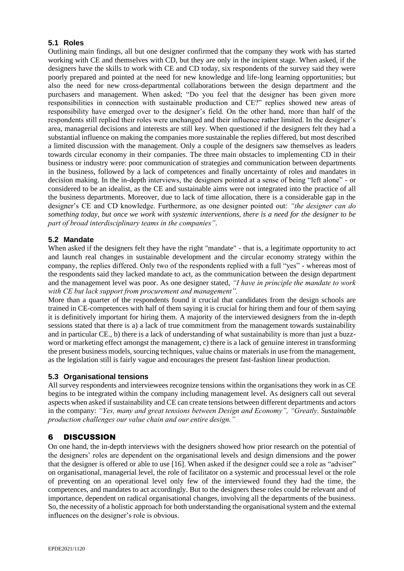#### **5.1 Roles**

Outlining main findings, all but one designer confirmed that the company they work with has started working with CE and themselves with CD, but they are only in the incipient stage. When asked, if the designers have the skills to work with CE and CD today, six respondents of the survey said they were poorly prepared and pointed at the need for new knowledge and life-long learning opportunities; but also the need for new cross-departmental collaborations between the design department and the purchasers and management. When asked; "Do you feel that the designer has been given more responsibilities in connection with sustainable production and CE?" replies showed new areas of responsibility have emerged over to the designer's field. On the other hand, more than half of the respondents still replied their roles were unchanged and their influence rather limited. In the designer's area, managerial decisions and interests are still key. When questioned if the designers felt they had a substantial influence on making the companies more sustainable the replies differed, but most described a limited discussion with the management. Only a couple of the designers saw themselves as leaders towards circular economy in their companies. The three main obstacles to implementing CD in their business or industry were: poor communication of strategies and communication between departments in the business, followed by a lack of competences and finally uncertainty of roles and mandates in decision making. In the in-depth interviews, the designers pointed at a sense of being "left alone" - or considered to be an idealist, as the CE and sustainable aims were not integrated into the practice of all the business departments. Moreover, due to lack of time allocation, there is a considerable gap in the designer's CE and CD knowledge. Furthermore, as one designer pointed out: *"the designer can do something today, but once we work with systemic interventions, there is a need for the designer to be part of broad interdisciplinary teams in the companies"*.

## **5.2 Mandate**

When asked if the designers felt they have the right "mandate" - that is, a legitimate opportunity to act and launch real changes in sustainable development and the circular economy strategy within the company, the replies differed. Only two of the respondents replied with a full "yes" - whereas most of the respondents said they lacked mandate to act, as the communication between the design department and the management level was poor. As one designer stated, *"I have in principle the mandate to work with CE but lack support from procurement and management".*

More than a quarter of the respondents found it crucial that candidates from the design schools are trained in CE-competences with half of them saying it is crucial for hiring them and four of them saying it is definitively important for hiring them. A majority of the interviewed designers from the in-depth sessions stated that there is a) a lack of true commitment from the management towards sustainability and in particular CE., b) there is a lack of understanding of what sustainability is more than just a buzzword or marketing effect amongst the management, c) there is a lack of genuine interest in transforming the present business models, sourcing techniques, value chains or materials in use from the management, as the legislation still is fairly vague and encourages the present fast-fashion linear production.

#### **5.3 Organisational tensions**

All survey respondents and interviewees recognize tensions within the organisations they work in as CE begins to be integrated within the company including management level. As designers call out several aspects when asked if sustainability and CE can create tensions between different departments and actors in the company: *"Yes, many and great tensions between Design and Economy", "Greatly. Sustainable production challenges our value chain and our entire design."* 

# 6 DISCUSSION

On one hand, the in-depth interviews with the designers showed how prior research on the potential of the designers' roles are dependent on the organisational levels and design dimensions and the power that the designer is offered or able to use [16]. When asked if the designer could see a role as "adviser" on organisational, managerial level, the role of facilitator on a systemic and processual level or the role of preventing on an operational level only few of the interviewed found they had the time, the competences, and mandates to act accordingly. But to the designers these roles could be relevant and of importance, dependent on radical organisational changes, involving all the departments of the business. So, the necessity of a holistic approach for both understanding the organisational system and the external influences on the designer's role is obvious.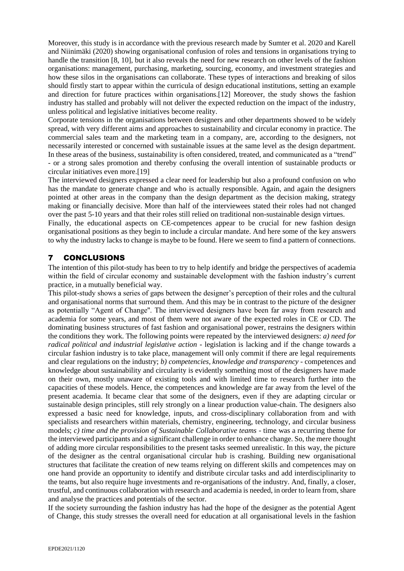Moreover, this study is in accordance with the previous research made by Sumter et al. 2020 and Karell and Niinimäki (2020) showing organisational confusion of roles and tensions in organisations trying to handle the transition [8, 10], but it also reveals the need for new research on other levels of the fashion organisations: management, purchasing, marketing, sourcing, economy, and investment strategies and how these silos in the organisations can collaborate. These types of interactions and breaking of silos should firstly start to appear within the curricula of design educational institutions, setting an example and direction for future practices within organisations.[12] Moreover, the study shows the fashion industry has stalled and probably will not deliver the expected reduction on the impact of the industry, unless political and legislative initiatives become reality.

Corporate tensions in the organisations between designers and other departments showed to be widely spread, with very different aims and approaches to sustainability and circular economy in practice. The commercial sales team and the marketing team in a company, are, according to the designers, not necessarily interested or concerned with sustainable issues at the same level as the design department. In these areas of the business, sustainability is often considered, treated, and communicated as a "trend" - or a strong sales promotion and thereby confusing the overall intention of sustainable products or circular initiatives even more.[19]

The interviewed designers expressed a clear need for leadership but also a profound confusion on who has the mandate to generate change and who is actually responsible. Again, and again the designers pointed at other areas in the company than the design department as the decision making, strategy making or financially decisive. More than half of the interviewees stated their roles had not changed over the past 5-10 years and that their roles still relied on traditional non-sustainable design virtues.

Finally, the educational aspects on CE-competences appear to be crucial for new fashion design organisational positions as they begin to include a circular mandate. And here some of the key answers to why the industry lacks to change is maybe to be found. Here we seem to find a pattern of connections.

# 7 CONCLUSIONS

The intention of this pilot-study has been to try to help identify and bridge the perspectives of academia within the field of circular economy and sustainable development with the fashion industry's current practice, in a mutually beneficial way.

This pilot-study shows a series of gaps between the designer's perception of their roles and the cultural and organisational norms that surround them. And this may be in contrast to the picture of the designer as potentially "Agent of Change''. The interviewed designers have been far away from research and academia for some years, and most of them were not aware of the expected roles in CE or CD. The dominating business structures of fast fashion and organisational power, restrains the designers within the conditions they work. The following points were repeated by the interviewed designers: *a) need for radical political and industrial legislative action* - legislation is lacking and if the change towards a circular fashion industry is to take place, management will only commit if there are legal requirements and clear regulations on the industry; *b) competencies, knowledge and transparency* - competences and knowledge about sustainability and circularity is evidently something most of the designers have made on their own, mostly unaware of existing tools and with limited time to research further into the capacities of these models. Hence, the competences and knowledge are far away from the level of the present academia. It became clear that some of the designers, even if they are adapting circular or sustainable design principles, still rely strongly on a linear production value-chain. The designers also expressed a basic need for knowledge, inputs, and cross-disciplinary collaboration from and with specialists and researchers within materials, chemistry, engineering, technology, and circular business models; *c*) time and the provision of Sustainable Collaborative teams - time was a recurring theme for the interviewed participants and a significant challenge in order to enhance change. So, the mere thought of adding more circular responsibilities to the present tasks seemed unrealistic. In this way, the picture of the designer as the central organisational circular hub is crashing. Building new organisational structures that facilitate the creation of new teams relying on different skills and competences may on one hand provide an opportunity to identify and distribute circular tasks and add interdisciplinarity to the teams, but also require huge investments and re-organisations of the industry. And, finally, a closer, trustful, and continuous collaboration with research and academia is needed, in order to learn from, share and analyse the practices and potentials of the sector.

If the society surrounding the fashion industry has had the hope of the designer as the potential Agent of Change, this study stresses the overall need for education at all organisational levels in the fashion